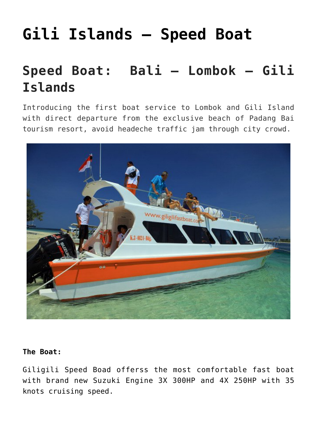# **[Gili Islands – Speed Boat](https://griyasari.com/gili-islands-speed-boat/)**

# **Speed Boat: Bali – Lombok – Gili Islands**

Introducing the first boat service to Lombok and Gili Island with direct departure from the exclusive beach of Padang Bai tourism resort, avoid headeche traffic jam through city crowd.



#### **The Boat:**

Giligili Speed Boad offerss the most comfortable fast boat with brand new Suzuki Engine 3X 300HP and 4X 250HP with 35 knots cruising speed.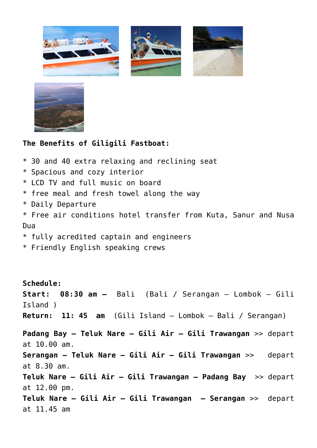







#### **The Benefits of Giligili Fastboat:**

\* 30 and 40 extra relaxing and reclining seat \* Spacious and cozy interior \* LCD TV and full music on board \* free meal and fresh towel along the way \* Daily Departure \* Free air conditions hotel transfer from Kuta, Sanur and Nusa Dua \* fully acredited captain and engineers \* Friendly English speaking crews **Schedule: Start: 08:30 am –** Bali (Bali / Serangan – Lombok – Gili Island ) **Return: 11: 45 am** (Gili Island – Lombok – Bali / Serangan) **Padang Bay – Teluk Nare – Gili Air – Gili Trawangan** >> depart at 10.00 am. **Serangan – Teluk Nare – Gili Air – Gili Trawangan** >> depart at 8.30 am. **Teluk Nare – Gili Air – Gili Trawangan – Padang Bay** >> depart at 12.00 pm. **Teluk Nare – Gili Air – Gili Trawangan – Serangan** >> depart at 11.45 am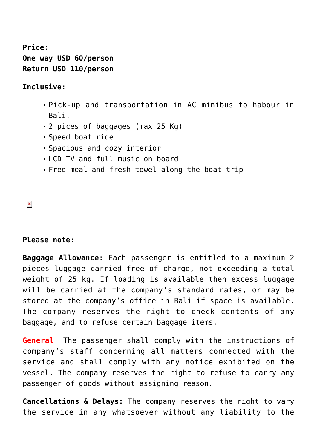**Price: One way USD 60/person Return USD 110/person**

**Inclusive:**

- Pick-up and transportation in AC minibus to habour in Bali.
- 2 pices of baggages (max 25 Kg)
- Speed boat ride
- Spacious and cozy interior
- . ICD TV and full music on board
- Free meal and fresh towel along the boat trip

 $\pmb{\times}$ 

#### **Please note:**

**Baggage Allowance:** Each passenger is entitled to a maximum 2 pieces luggage carried free of charge, not exceeding a total weight of 25 kg. If loading is available then excess luggage will be carried at the company's standard rates, or may be stored at the company's office in Bali if space is available. The company reserves the right to check contents of any baggage, and to refuse certain baggage items.

**General**: The passenger shall comply with the instructions of company's staff concerning all matters connected with the service and shall comply with any notice exhibited on the vessel. The company reserves the right to refuse to carry any passenger of goods without assigning reason.

**Cancellations & Delays:** The company reserves the right to vary the service in any whatsoever without any liability to the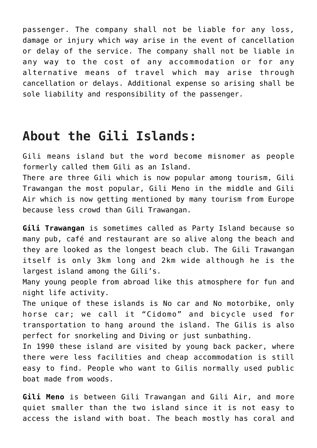passenger. The company shall not be liable for any loss, damage or injury which way arise in the event of cancellation or delay of the service. The company shall not be liable in any way to the cost of any accommodation or for any alternative means of travel which may arise through cancellation or delays. Additional expense so arising shall be sole liability and responsibility of the passenger.

### **About the Gili Islands:**

Gili means island but the word become misnomer as people formerly called them Gili as an Island.

There are three Gili which is now popular among tourism, Gili Trawangan the most popular, Gili Meno in the middle and Gili Air which is now getting mentioned by many tourism from Europe because less crowd than Gili Trawangan.

**Gili Trawangan** is sometimes called as Party Island because so many pub, café and restaurant are so alive along the beach and they are looked as the longest beach club. The Gili Trawangan itself is only 3km long and 2km wide although he is the largest island among the Gili's.

Many young people from abroad like this atmosphere for fun and night life activity.

The unique of these islands is No car and No motorbike, only horse car; we call it "Cidomo" and bicycle used for transportation to hang around the island. The Gilis is also perfect for snorkeling and Diving or just sunbathing.

In 1990 these island are visited by young back packer, where there were less facilities and cheap accommodation is still easy to find. People who want to Gilis normally used public boat made from woods.

**Gili Meno** is between Gili Trawangan and Gili Air, and more quiet smaller than the two island since it is not easy to access the island with boat. The beach mostly has coral and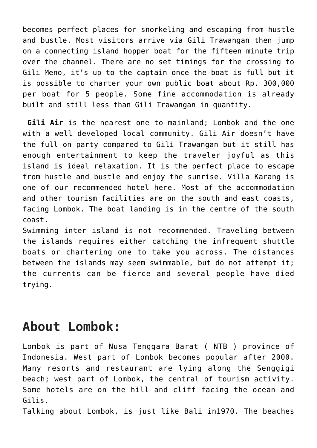becomes perfect places for snorkeling and escaping from hustle and bustle. Most visitors arrive via Gili Trawangan then jump on a connecting island hopper boat for the fifteen minute trip over the channel. There are no set timings for the crossing to Gili Meno, it's up to the captain once the boat is full but it is possible to charter your own public boat about Rp. 300,000 per boat for 5 people. Some fine accommodation is already built and still less than Gili Trawangan in quantity.

 **Gili Air** is the nearest one to mainland; Lombok and the one with a well developed local community. Gili Air doesn't have the full on party compared to Gili Trawangan but it still has enough entertainment to keep the traveler joyful as this island is ideal relaxation. It is the perfect place to escape from hustle and bustle and enjoy the sunrise. Villa Karang is one of our recommended hotel here. Most of the accommodation and other tourism facilities are on the south and east coasts, facing Lombok. The boat landing is in the centre of the south coast.

Swimming inter island is not recommended. Traveling between the islands requires either catching the infrequent shuttle boats or chartering one to take you across. The distances between the islands may seem swimmable, but do not attempt it; the currents can be fierce and several people have died trying.

## **About Lombok:**

Lombok is part of Nusa Tenggara Barat ( NTB ) province of Indonesia. West part of Lombok becomes popular after 2000. Many resorts and restaurant are lying along the Senggigi beach; west part of Lombok, the central of tourism activity. Some hotels are on the hill and cliff facing the ocean and Gilis. Talking about Lombok, is just like Bali in1970. The beaches